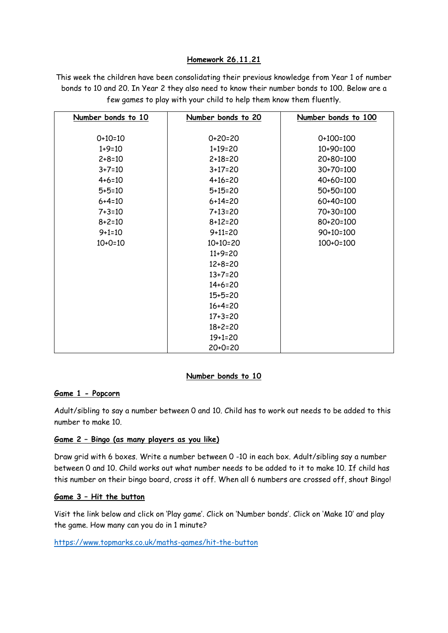## **Homework 26.11.21**

This week the children have been consolidating their previous knowledge from Year 1 of number bonds to 10 and 20. In Year 2 they also need to know their number bonds to 100. Below are a few games to play with your child to help them know them fluently.

| Number bonds to 10 | Number bonds to 20 | Number bonds to 100 |
|--------------------|--------------------|---------------------|
|                    |                    |                     |
| $0+10=10$          | $0+20=20$          | $0+100=100$         |
| $1+9=10$           | $1+19=20$          | $10+90=100$         |
| $2 + 8 = 10$       | $2 + 18 = 20$      | 20+80=100           |
| $3 + 7 = 10$       | $3+17=20$          | 30+70=100           |
| $4 + 6 = 10$       | $4+16=20$          | 40+60=100           |
| $5 + 5 = 10$       | $5+15=20$          | 50+50=100           |
| $6 + 4 = 10$       | $6 + 14 = 20$      | 60+40=100           |
| $7 + 3 = 10$       | $7+13=20$          | 70+30=100           |
| $8 + 2 = 10$       | $8 + 12 = 20$      | 80+20=100           |
| $9 + 1 = 10$       | $9 + 11 = 20$      | 90+10=100           |
| $10+0=10$          | $10+10=20$         | $100+0=100$         |
|                    | $11+9=20$          |                     |
|                    | $12 + 8 = 20$      |                     |
|                    | $13+7=20$          |                     |
|                    | $14+6=20$          |                     |
|                    | $15+5=20$          |                     |
|                    | $16+4=20$          |                     |
|                    | $17 + 3 = 20$      |                     |
|                    | $18 + 2 = 20$      |                     |
|                    | $19+1=20$          |                     |
|                    | $20+0=20$          |                     |

#### **Number bonds to 10**

### **Game 1 - Popcorn**

Adult/sibling to say a number between 0 and 10. Child has to work out needs to be added to this number to make 10.

# **Game 2 – Bingo (as many players as you like)**

Draw grid with 6 boxes. Write a number between 0 -10 in each box. Adult/sibling say a number between 0 and 10. Child works out what number needs to be added to it to make 10. If child has this number on their bingo board, cross it off. When all 6 numbers are crossed off, shout Bingo!

#### **Game 3 – Hit the button**

Visit the link below and click on 'Play game'. Click on 'Number bonds'. Click on 'Make 10' and play the game. How many can you do in 1 minute?

<https://www.topmarks.co.uk/maths-games/hit-the-button>